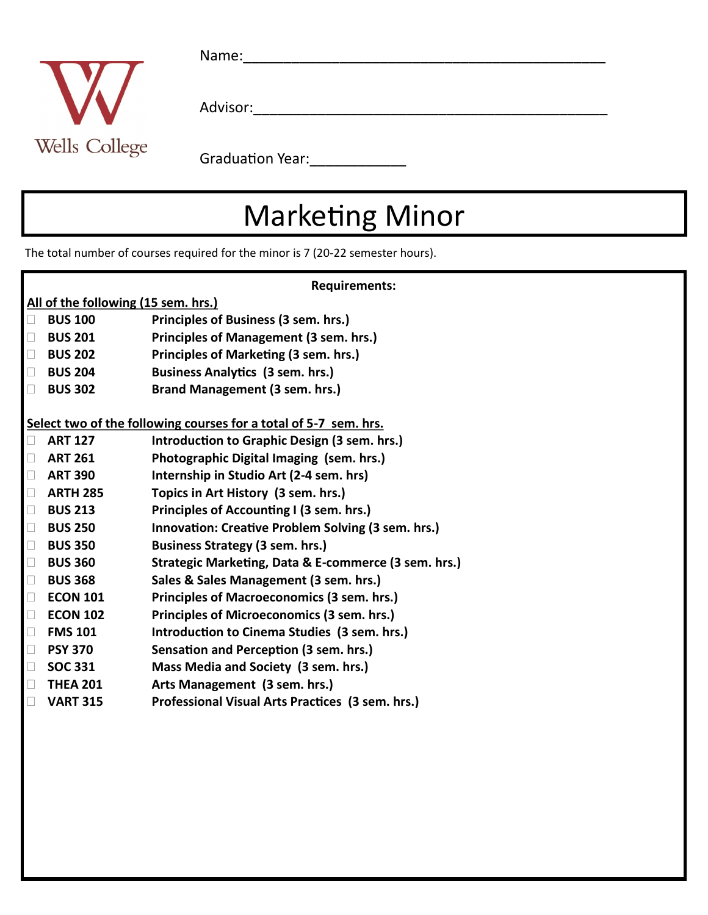

Name:\_\_\_\_\_\_\_\_\_\_\_\_\_\_\_\_\_\_\_\_\_\_\_\_\_\_\_\_\_\_\_\_\_\_\_\_\_\_\_\_\_\_\_\_\_

Advisor:\_\_\_\_\_\_\_\_\_\_\_\_\_\_\_\_\_\_\_\_\_\_\_\_\_\_\_\_\_\_\_\_\_\_\_\_\_\_\_\_\_\_\_\_

Graduation Year: \_\_\_\_\_\_\_\_\_\_\_\_\_\_

## Marketing Minor

The total number of courses required for the minor is 7 (20-22 semester hours).

| <b>Requirements:</b>                                             |                                                      |
|------------------------------------------------------------------|------------------------------------------------------|
| All of the following (15 sem. hrs.)                              |                                                      |
| <b>BUS 100</b><br>$\Box$                                         | Principles of Business (3 sem. hrs.)                 |
| <b>BUS 201</b><br>$\Box$                                         | Principles of Management (3 sem. hrs.)               |
| <b>BUS 202</b><br>$\Box$                                         | Principles of Marketing (3 sem. hrs.)                |
| <b>BUS 204</b><br>$\Box$                                         | <b>Business Analytics (3 sem. hrs.)</b>              |
| <b>BUS 302</b><br>$\Box$                                         | Brand Management (3 sem. hrs.)                       |
| Select two of the following courses for a total of 5-7 sem. hrs. |                                                      |
| <b>ART 127</b><br>$\Box$                                         | Introduction to Graphic Design (3 sem. hrs.)         |
| <b>ART 261</b><br>$\Box$                                         | Photographic Digital Imaging (sem. hrs.)             |
| <b>ART 390</b><br>$\Box$                                         | Internship in Studio Art (2-4 sem. hrs)              |
| <b>ARTH 285</b><br>$\Box$                                        | Topics in Art History (3 sem. hrs.)                  |
| $\Box$<br><b>BUS 213</b>                                         | Principles of Accounting I (3 sem. hrs.)             |
| $\Box$<br><b>BUS 250</b>                                         | Innovation: Creative Problem Solving (3 sem. hrs.)   |
| $\Box$<br><b>BUS 350</b>                                         | <b>Business Strategy (3 sem. hrs.)</b>               |
| <b>BUS 360</b><br>$\Box$                                         | Strategic Marketing, Data & E-commerce (3 sem. hrs.) |
| <b>BUS 368</b><br>$\Box$                                         | Sales & Sales Management (3 sem. hrs.)               |
| <b>ECON 101</b><br>$\Box$                                        | Principles of Macroeconomics (3 sem. hrs.)           |
| <b>ECON 102</b><br>$\Box$                                        | Principles of Microeconomics (3 sem. hrs.)           |
| <b>FMS 101</b><br>$\Box$                                         | Introduction to Cinema Studies (3 sem. hrs.)         |
| $\Box$<br><b>PSY 370</b>                                         | Sensation and Perception (3 sem. hrs.)               |
| <b>SOC 331</b><br>$\Box$                                         | Mass Media and Society (3 sem. hrs.)                 |
| <b>THEA 201</b><br>$\Box$                                        | Arts Management (3 sem. hrs.)                        |
| <b>VART 315</b><br>Ш                                             | Professional Visual Arts Practices (3 sem. hrs.)     |
|                                                                  |                                                      |